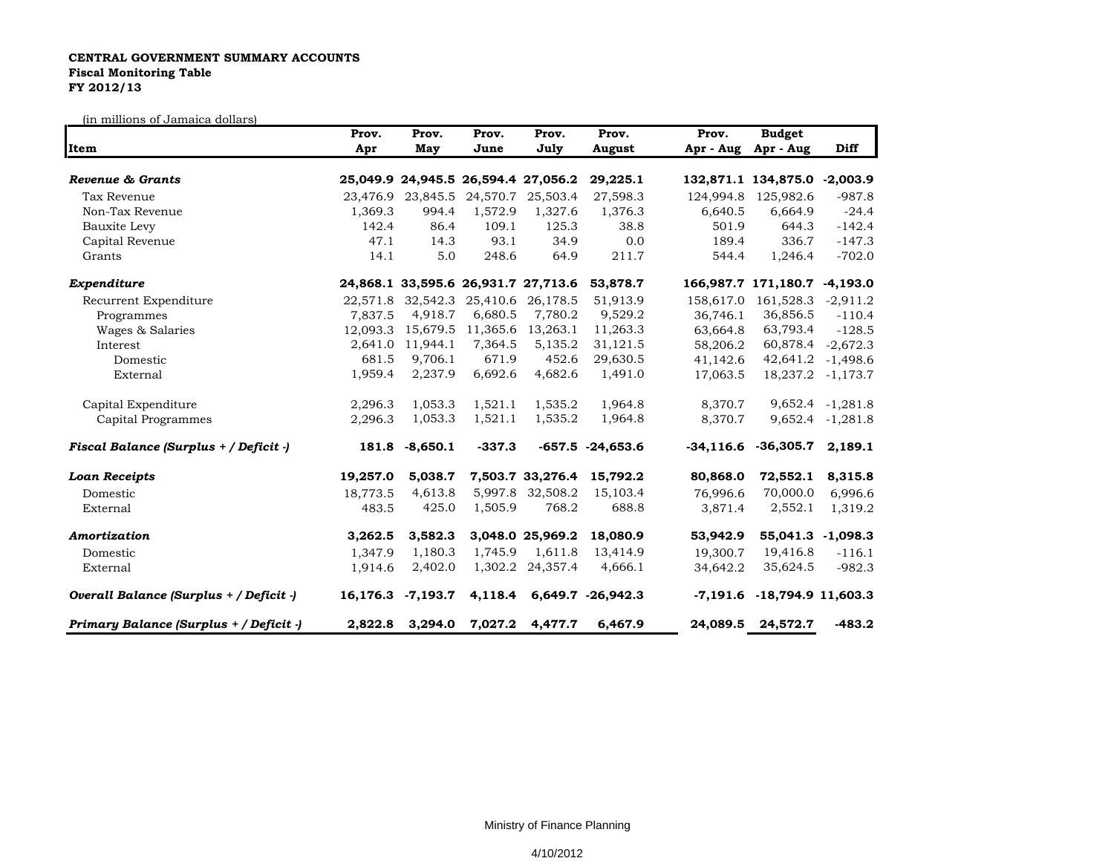## **CENTRAL GOVERNMENT SUMMARY ACCOUNTS Fiscal Monitoring Table FY 2012/13**

(in millions of Jamaica dollars)

| Item                                    | Prov.<br>Apr | Prov.<br>May      | Prov.<br>June | Prov.<br>July                       | Prov.<br>August           | Prov.<br>Apr - Aug | <b>Budget</b><br>Apr - Aug        | Diff                   |
|-----------------------------------------|--------------|-------------------|---------------|-------------------------------------|---------------------------|--------------------|-----------------------------------|------------------------|
|                                         |              |                   |               |                                     |                           |                    |                                   |                        |
| Tax Revenue                             |              | 23,476.9 23,845.5 | 24,570.7      | 25,503.4                            | 27,598.3                  | 124,994.8          | 125,982.6                         | $-987.8$               |
| Non-Tax Revenue                         | 1,369.3      | 994.4             | 1,572.9       | 1,327.6                             | 1,376.3                   | 6,640.5            | 6,664.9                           | $-24.4$                |
| Bauxite Levy                            | 142.4        | 86.4              | 109.1         | 125.3                               | 38.8                      | 501.9              | 644.3                             | $-142.4$               |
| Capital Revenue                         | 47.1         | 14.3              | 93.1          | 34.9                                | 0.0                       | 189.4              | 336.7                             | $-147.3$               |
| Grants                                  | 14.1         | 5.0               | 248.6         | 64.9                                | 211.7                     | 544.4              | 1,246.4                           | $-702.0$               |
| Expenditure                             |              |                   |               | 24,868.1 33,595.6 26,931.7 27,713.6 | 53,878.7                  |                    | 166,987.7 171,180.7 -4,193.0      |                        |
| Recurrent Expenditure                   |              | 22,571.8 32,542.3 | 25,410.6      | 26,178.5                            | 51,913.9                  | 158,617.0          | 161,528.3                         | $-2,911.2$             |
| Programmes                              | 7,837.5      | 4,918.7           | 6,680.5       | 7,780.2                             | 9,529.2                   | 36,746.1           | 36,856.5                          | $-110.4$               |
| Wages & Salaries                        | 12,093.3     | 15,679.5          | 11,365.6      | 13,263.1                            | 11,263.3                  | 63,664.8           | 63,793.4                          | $-128.5$               |
| Interest                                | 2,641.0      | 11,944.1          | 7,364.5       | 5,135.2                             | 31,121.5                  | 58,206.2           | 60,878.4                          | $-2,672.3$             |
| Domestic                                | 681.5        | 9.706.1           | 671.9         | 452.6                               | 29,630.5                  | 41,142.6           | 42,641.2                          | $-1,498.6$             |
| External                                | 1,959.4      | 2,237.9           | 6,692.6       | 4,682.6                             | 1,491.0                   | 17,063.5           |                                   | 18, 237. 2 - 1, 173. 7 |
| Capital Expenditure                     | 2,296.3      | 1,053.3           | 1,521.1       | 1,535.2                             | 1,964.8                   | 8,370.7            |                                   | 9,652.4 -1,281.8       |
| Capital Programmes                      | 2,296.3      | 1,053.3           | 1,521.1       | 1,535.2                             | 1,964.8                   | 8,370.7            |                                   | 9,652.4 -1,281.8       |
| Fiscal Balance (Surplus + / Deficit -)  | 181.8        | $-8,650.1$        | $-337.3$      |                                     | $-657.5 -24,653.6$        |                    | $-34,116.6$ $-36,305.7$ 2,189.1   |                        |
| <b>Loan Receipts</b>                    | 19,257.0     | 5,038.7           |               | 7,503.7 33,276.4                    | 15,792.2                  | 80,868.0           | 72,552.1                          | 8,315.8                |
| Domestic                                | 18,773.5     | 4,613.8           | 5,997.8       | 32,508.2                            | 15,103.4                  | 76,996.6           | 70,000.0                          | 6,996.6                |
| External                                | 483.5        | 425.0             | 1,505.9       | 768.2                               | 688.8                     | 3,871.4            | 2,552.1                           | 1,319.2                |
| Amortization                            | 3,262.5      | 3,582.3           |               | 3,048.0 25,969.2                    | 18,080.9                  | 53,942.9           | 55,041.3 -1,098.3                 |                        |
| Domestic                                | 1,347.9      | 1,180.3           | 1,745.9       | 1,611.8                             | 13,414.9                  | 19,300.7           | 19,416.8                          | $-116.1$               |
| External                                | 1,914.6      | 2,402.0           |               | 1,302.2 24,357.4                    | 4,666.1                   | 34,642.2           | 35,624.5                          | $-982.3$               |
| Overall Balance (Surplus + / Deficit -) |              | 16,176.3 -7,193.7 |               |                                     | 4,118.4 6,649.7 -26,942.3 |                    | $-7,191.6$ $-18,794.9$ $11,603.3$ |                        |
| Primary Balance (Surplus + / Deficit -) | 2,822.8      | 3,294.0           | 7,027.2       | 4,477.7                             | 6,467.9                   | 24,089.5           | 24,572.7                          | $-483.2$               |

Ministry of Finance Planning